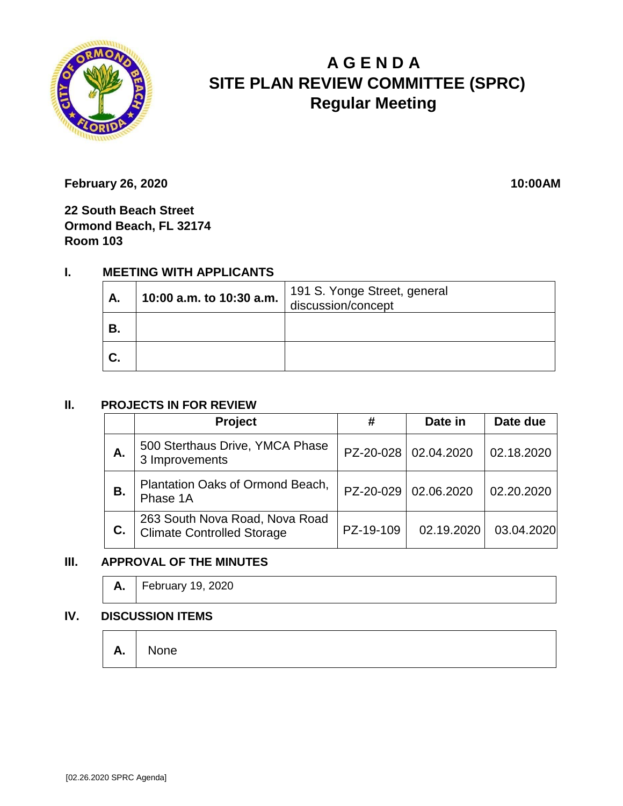

# **A G E N D A SITE PLAN REVIEW COMMITTEE (SPRC) Regular Meeting**

**February 26, 2020** 10:00AM

**22 South Beach Street Ormond Beach, FL 32174 Room 103**

## **I. MEETING WITH APPLICANTS**

| А. | 10:00 a.m. to 10:30 a.m. | 191 S. Yonge Street, general<br>discussion/concept |
|----|--------------------------|----------------------------------------------------|
| В. |                          |                                                    |
| C. |                          |                                                    |

#### **II. PROJECTS IN FOR REVIEW**

|    | <b>Project</b>                                                      | #         | Date in                | Date due   |
|----|---------------------------------------------------------------------|-----------|------------------------|------------|
| Α. | 500 Sterthaus Drive, YMCA Phase<br>3 Improvements                   |           | PZ-20-028   02.04.2020 | 02.18.2020 |
| В. | Plantation Oaks of Ormond Beach,<br>Phase 1A                        | PZ-20-029 | 02.06.2020             | 02.20.2020 |
| C. | 263 South Nova Road, Nova Road<br><b>Climate Controlled Storage</b> | PZ-19-109 | 02.19.2020             | 03.04.2020 |

### **III. APPROVAL OF THE MINUTES**

| <b>A.</b>   February 19, 2020 |
|-------------------------------|
|                               |

#### **IV. DISCUSSION ITEMS**

**A.** None